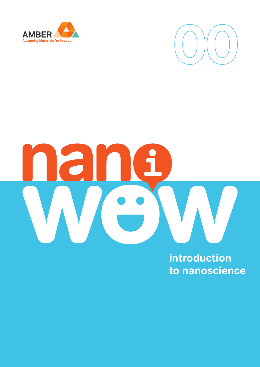



**introduction to nanoscience**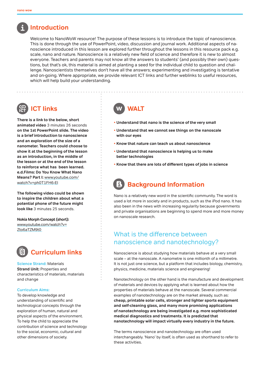# **Introduction**

 Welcome to NanoWoW resource! The purpose of these lessons is to introduce the topic of nanoscience. This is done through the use of PowerPoint, video, discussion and journal work. Additional aspects of nanoscience introduced in this lesson are explored further throughout the lessons in this resource pack e.g. scale, nano and nature. Nanoscience is a relatively new field of science and therefore it is new to almost everyone. Teachers and parents may not know all the answers to students' (and possibly their own) questions, but that's ok, this material is aimed at planting a seed for the individual child to question and challenge. Nanoscientists themselves don't have all the answers; experimenting and investigating is tentative and on-going. Where appropriate, we provide relevant ICT links and further weblinks to useful resources, which will help build your understanding.

# **ICT links**

**There is a link to the below, short animated video** 3 minutes 26 seconds **on the 1st PowerPoint slide. The video is a brief introduction to nanoscience and an exploration of the size of a nanometer. Teachers could choose to show it at the beginning of the lesson as an introduction, in the middle of the lesson or at the end of the lesson to reinforce what has been learned. e.d.Films: Do You Know What Nano Means? Part I:** www.youtube.com/ watch?v=ph0T1FH6-EI

**The following video could be shown to inspire the children about what a potential phone of the future might look like** 3 minutes 25 seconds.

**Nokia Morph Concept (short):**  www.youtube.com/watch?v= Zto6aTZM9t0



**Science Strand:** Materials **Strand Unit: Properties and** characteristics of materials, materials and change

#### **Curriculum Aims:**

To develop knowledge and understanding of scientific and technological concepts through the exploration of human, natural and physical aspects of the environment. To help the child to appreciate the contribution of science and technology to the social, economic, cultural and other dimensions of society.

# **WALT**

- **Understand that nano is the science of the very small**
- **Understand that we cannot see things on the nanoscale with our eyes**
- **Know that nature can teach us about nanoscience**
- **Understand that nanoscience is helping us to make better technologies**
- **Know that there are lots of different types of jobs in science**

# **Background Information**

Nano is a relatively new word in the scientific community. The word is used a lot more in society and in products, such as the iPod nano. It has also been in the news with increasing regularity because governments and private organisations are beginning to spend more and more money on nanoscale research.

### What is the difference between nanoscience and nanotechnology?

Nanoscience is about studying how materials behave at a very small scale – at the nanoscale. A nanometre is one millionth of a millimetre. It is not just one science, but a platform that includes biology, chemistry, physics, medicine, materials science and engineering!

Nanotechnology on the other hand is the manufacture and development of materials and devices by applying what is learned about how the properties of materials behave at the nanoscale. Several commercial examples of nanotechnology are on the market already, such as: **cheap, printable solar cells, stronger and lighter sports equipment and self-cleaning glass, and many more promising applications of nanotechnology are being investigated e.g. more sophisticated medical diagnostics and treatments. It is predicted that nanotechnology will impact virtually every industry in the future.**

The terms nanoscience and nanotechnology are often used interchangeably. 'Nano' by itself, is often used as shorthand to refer to these activities.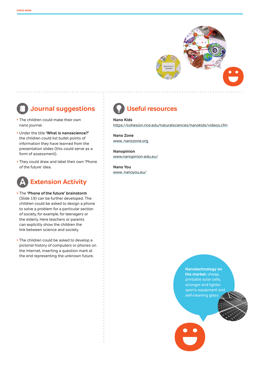

# **Journal suggestions**

- The children could make their own nano journal.
- Under the title **'What is nanoscience?'** the children could list bullet points of information they have learned from the presentation slides (this could serve as a form of assessment).
- They could draw and label their own 'Phone of the future' idea.



- The **'Phone of the future' brainstorm**  (Slide 19) can be further developed. The children could be asked to design a phone to solve a problem for a particular section of society, for example, for teenagers or the elderly. Here teachers or parents can explicitly show the children the link between science and society.
- The children could be asked to develop a pictorial history of computers or phones on the Internet, inserting a question mark at the end representing the unknown future.

# **Useful resources**

**Nano Kids**  https://cohesion.rice.edu/naturalsciences/nanokids/videos.cfm

**Nano Zone** www. nanozone.org

**Nanopinion** www.nanopinion-edu.eu/

**Nano You**  www. nanoyou.eu/

> **Nanotechnology on the market:** cheap, printable solar cells, stronger and lighter sports equipment and self-cleaning glass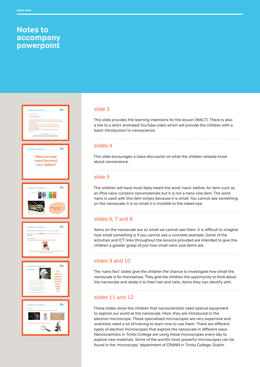# **Notes to accompany powerpoint**



### slide 3

This slide provides the learning intentions for the lesson (WALT). There is also a link to a short animated YouTube video which will provide the children with a basic introduction to nanoscience.

#### slides 4

This slide encourages a class discussion on what the children already know about nanoscience.

### slide 5

The children will have most likely heard the word 'nano' before. An item such as an iPod nano contains nanomaterials but it is not a nano size item. The word nano is used with this item simply because it is small. You cannot see something on the nanoscale; it is so small it is invisible to the naked eye.

. . . . . . . . . . . . . . . . .

### slides 6, 7 and 8

Items on the nanoscale are so small we cannot see them. It is difficult to imagine how small something is if you cannot see a concrete example. Some of the activities and ICT links throughout the lessons provided are intended to give the children a greater grasp of just how small nano size items are.

#### slides 9 and 10

The 'nano fact' slides give the children the chance to investigate how small the nanoscale is for themselves. They give the children the opportunity to think about the nanoscale and relate it to their hair and nails, items they can identify with.

### slides 11 and 12

These slides show the children that nanoscientists need special equipment to explore our world at the nanoscale. Here, they are introduced to the electron microscope. These specialised microscopes are very expensive and scientists need a lot of training to learn how to use them. There are different types of electron microscopes that explore the nanoscale in different ways. Nanoscientists in Trinity College are using these microscopes every day to explore new materials. Some of the world's most powerful microscopes can be found in the 'microscopy' department of CRANN in Trinity College, Dublin.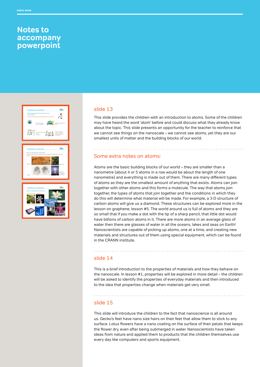### **Notes to accompany powerpoint**







#### slide 13

This slide provides the children with an introduction to atoms. Some of the children may have heard the word 'atom' before and could discuss what they already know about the topic. This slide presents an opportunity for the teacher to reinforce that we cannot see things on the nanoscale – we cannot see atoms, yet they are our smallest units of matter and the building blocks of our world.

### Some extra notes on atoms:

Atoms are the basic building blocks of our world – they are smaller than a nanometre (about 4 or 5 atoms in a row would be about the length of one nanometre) and everything is made out of them. There are many different types of atoms as they are the smallest amount of anything that exists. Atoms can join together with other atoms and this forms a molecule. The way that atoms join together, the types of atoms that join together and the conditions in which they do this will determine what material will be made. For example, a 3-D structure of carbon atoms will give us a diamond. These structures can be explored more in the lesson on graphene, lesson #5. The world around us is full of atoms and they are so small that if you make a dot with the tip of a sharp pencil, that little dot would have billions of carbon atoms in it. There are more atoms in an average glass of water then there are glasses of water in all the oceans, lakes and seas on Earth! Nanoscientists are capable of picking up atoms, one at a time, and creating new materials and structures out of them using special equipment, which can be found in the CRANN institute.

### slide 14

This is a brief introduction to the properties of materials and how they behave on the nanoscale. In lesson #1, properties will be explored in more detail – the children will be asked to identify the properties of everyday materials and then introduced to the idea that properties change when materials get very small.

### slide 15

This slide will introduce the children to the fact that nanoscience is all around us. Gecko's feet have nano size hairs on their feet that allow them to stick to any surface. Lotus flowers have a nano coating on the surface of their petals that keeps the flower dry, even after being submerged in water. Nanoscientists have taken ideas from nature and applied them to products that the children themselves use every day like computers and sports equipment.